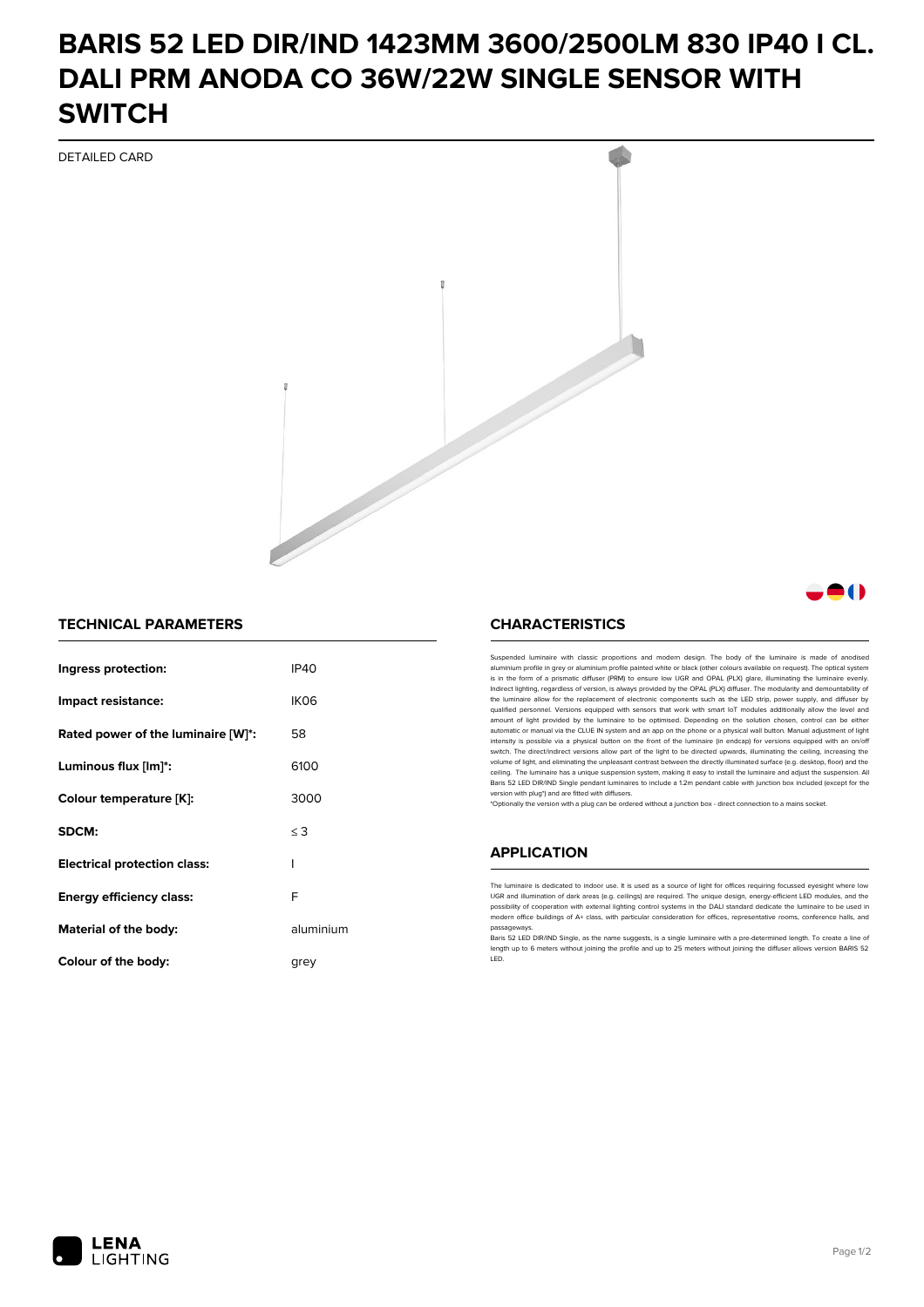# **BARIS 52 LED DIR/IND 1423MM 3600/2500LM 830 IP40 I CL. DALI PRM ANODA CO 36W/22W SINGLE SENSOR WITH SWITCH**

DETAILED CARD



### **TECHNICAL PARAMETERS**

| Ingress protection:                 | <b>IP40</b>      |
|-------------------------------------|------------------|
| Impact resistance:                  | IK <sub>06</sub> |
| Rated power of the luminaire [W]*:  | 58               |
| Luminous flux [lm]*:                | 6100             |
| Colour temperature [K]:             | 3000             |
| SDCM:                               | $\leq$ 3         |
| <b>Electrical protection class:</b> | ı                |
| Energy efficiency class:            | F                |
| Material of the body:               | aluminium        |
| Colour of the body:                 | arev             |

#### **CHARACTERISTICS**

Suspended luminaire with classic proportions and modern design. The body of the luminaire is made of an aluminium profile in grey or aluminium profile painted white or black (other colours available on request). The optical system is in the form of a prismatic diffuser (PRM) to ensure low UGR and OPAL (PLX) glare, illuminating the luminaire evenly.<br>Indirect lighting, regardless of version, is always provided by the OPAL (PLX) diffuser. The modularit the luminaire allow for the replacement of electronic components such as the LED strip, power supply, and diffuser by qualified personnel. Versions equipped with sensors that work with smart IoT modules additionally allow the level and amount of light provided by the luminaire to be optimised. Depending on the solution chosen, control can be either automatic or manual via the CLUE IN system and an app on the phone or a physical wall button. Manual adjustment of light<br>intensity is possible via a physical button on the front of the luminaire (in endcap) for versions eq switch. The direct/indirect versions allow part of the light to be directed upwards, illuminating the ceiling, increasing the volume of light, and eliminating the unpleasant contrast between the directly illuminated surface (e.g. desktop, floor) and the ceiling. The luminaire has a unique suspension system, making it easy to install the luminaire and adjust the suspension. All Baris 52 LED DIR/IND Single pendant Iuminaires to include a 1.2m pendant cable with junction box included (except for the<br>version with plug\*) and are fitted with diffusers.

\*Optionally the version with a plug can be ordered without a junction box - direct connection to a mains socket.

#### **APPLICATION**

The luminaire is dedicated to indoor use. It is used as a source of light for offices requiring focussed eyesight where low UGR and illumination of dark areas (e.g. ceilings) are required. The unique design, energy-efficient LED modules, and the<br>possibility of cooperation with external lighting control systems in the DALI standard dedicate the modern office buildings of A+ class, with particular consideration for offices, representative rooms, conference halls, and passage

Baris 52 LED DIR/IND Single, as the name suggests, is a single luminaire with a pre-determined length. To create a line of length up to 6 meters without joining the profile and up to 25 meters without joining the diffuser allows version BARIS 52 LED.



81 N